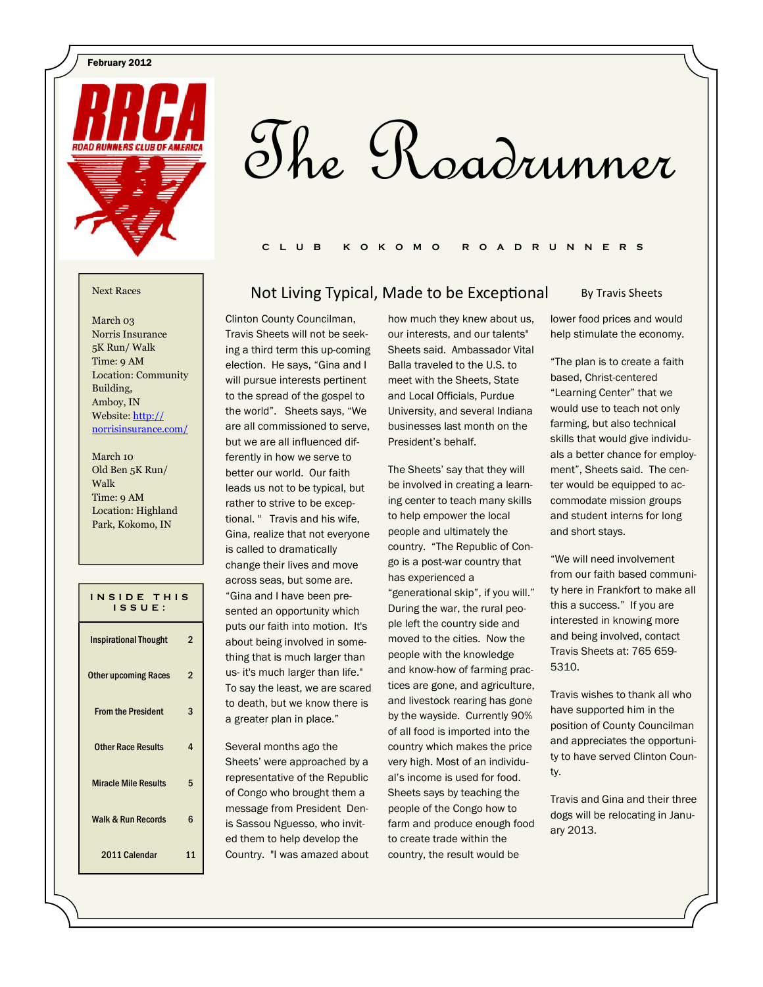February 2012



# The Roadrunner

#### C L U B K O K O M O R O A D R U N N E R S

March 03 Norris Insurance 5K Run/ Walk Time: 9 AM Location: Community Building, Amboy, IN Website: http:// norrisinsurance.com/

March 10 Old Ben 5K Run/ Walk Time: 9 AM Location: Highland Park, Kokomo, IN

| INSIDE THIS<br>ISSUE:         |                |
|-------------------------------|----------------|
| <b>Inspirational Thought</b>  | 2              |
| <b>Other upcoming Races</b>   | $\overline{2}$ |
| <b>From the President</b>     | 3              |
| <b>Other Race Results</b>     | 4              |
| <b>Miracle Mile Results</b>   | 5              |
| <b>Walk &amp; Run Records</b> | 6              |
| 2011 Calendar                 | 11             |

#### Clinton County Councilman, how much they knew about us, Next Races **Not Living Typical, Made to be Exceptional**

Travis Sheets will not be seeking a third term this up-coming election. He says, "Gina and I will pursue interests pertinent to the spread of the gospel to the world". Sheets says, "We are all commissioned to serve, but we are all influenced differently in how we serve to better our world. Our faith leads us not to be typical, but rather to strive to be exceptional. " Travis and his wife, Gina, realize that not everyone is called to dramatically change their lives and move across seas, but some are. "Gina and I have been presented an opportunity which puts our faith into motion. It's about being involved in something that is much larger than us- it's much larger than life." To say the least, we are scared to death, but we know there is a greater plan in place."

Several months ago the Sheets' were approached by a representative of the Republic of Congo who brought them a message from President Denis Sassou Nguesso, who invited them to help develop the Country. "I was amazed about our interests, and our talents" Sheets said. Ambassador Vital Balla traveled to the U.S. to meet with the Sheets, State and Local Officials, Purdue University, and several Indiana businesses last month on the President's behalf.

The Sheets' say that they will be involved in creating a learning center to teach many skills to help empower the local people and ultimately the country. "The Republic of Congo is a post-war country that has experienced a "generational skip", if you will." During the war, the rural people left the country side and moved to the cities. Now the people with the knowledge and know-how of farming practices are gone, and agriculture, and livestock rearing has gone by the wayside. Currently 90% of all food is imported into the country which makes the price very high. Most of an individual's income is used for food. Sheets says by teaching the people of the Congo how to farm and produce enough food to create trade within the country, the result would be

#### By Travis Sheets

lower food prices and would help stimulate the economy.

"The plan is to create a faith based, Christ-centered "Learning Center" that we would use to teach not only farming, but also technical skills that would give individuals a better chance for employment", Sheets said. The center would be equipped to accommodate mission groups and student interns for long and short stays.

"We will need involvement from our faith based community here in Frankfort to make all this a success." If you are interested in knowing more and being involved, contact Travis Sheets at: 765 659- 5310.

Travis wishes to thank all who have supported him in the position of County Councilman and appreciates the opportunity to have served Clinton County.

Travis and Gina and their three dogs will be relocating in January 2013.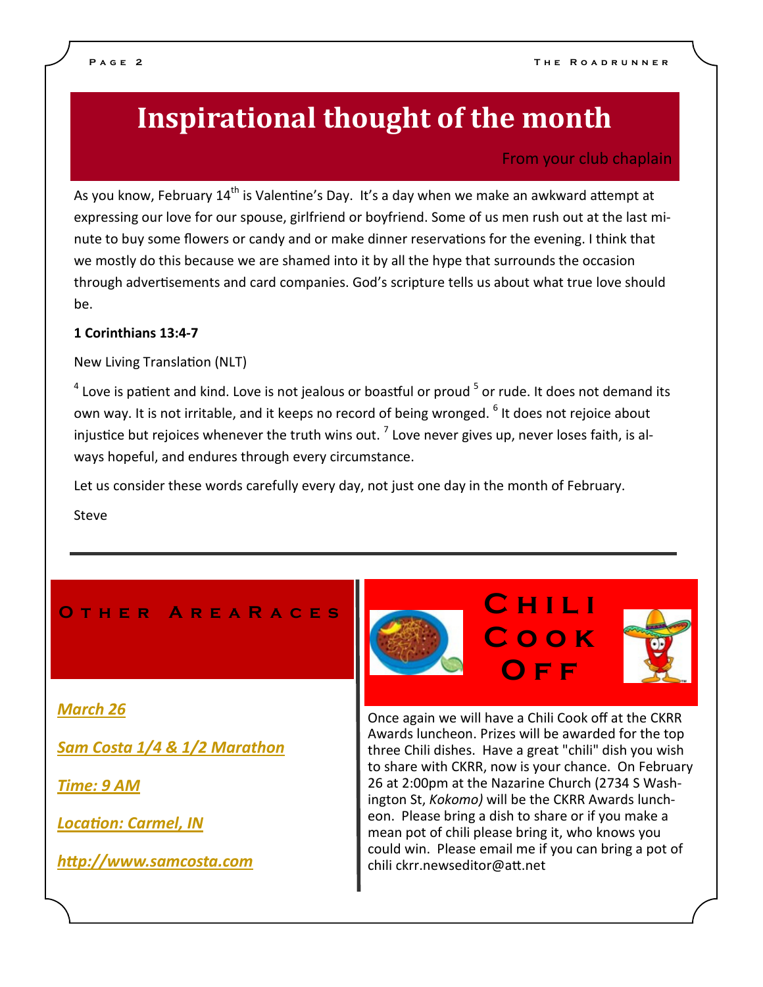## Inspirational thought of the month

### From your club chaplain

As you know, February  $14<sup>th</sup>$  is Valentine's Day. It's a day when we make an awkward attempt at expressing our love for our spouse, girlfriend or boyfriend. Some of us men rush out at the last minute to buy some flowers or candy and or make dinner reservations for the evening. I think that we mostly do this because we are shamed into it by all the hype that surrounds the occasion through advertisements and card companies. God's scripture tells us about what true love should be.

#### 1 Corinthians 13:4-7

New Living Translation (NLT)

 $^4$  Love is patient and kind. Love is not jealous or boastful or proud  $^5$  or rude. It does not demand its own way. It is not irritable, and it keeps no record of being wronged.  $^6$  It does not rejoice about injustice but rejoices whenever the truth wins out.  $^7$  Love never gives up, never loses faith, is always hopeful, and endures through every circumstance.

Let us consider these words carefully every day, not just one day in the month of February.

Steve

### O t h e r A r e a R a c e s C h i l i

#### March 26

Sam Costa 1/4 & 1/2 Marathon

Time: 9 AM

**Location: Carmel, IN** 

http://www.samcosta.com

Once again we will have a Chili Cook off at the CKRR Awards luncheon. Prizes will be awarded for the top three Chili dishes. Have a great "chili" dish you wish to share with CKRR, now is your chance. On February 26 at 2:00pm at the Nazarine Church (2734 S Washington St, Kokomo) will be the CKRR Awards luncheon. Please bring a dish to share or if you make a mean pot of chili please bring it, who knows you could win. Please email me if you can bring a pot of chili ckrr.newseditor@att.net

C o o k

OFF<sup>1</sup>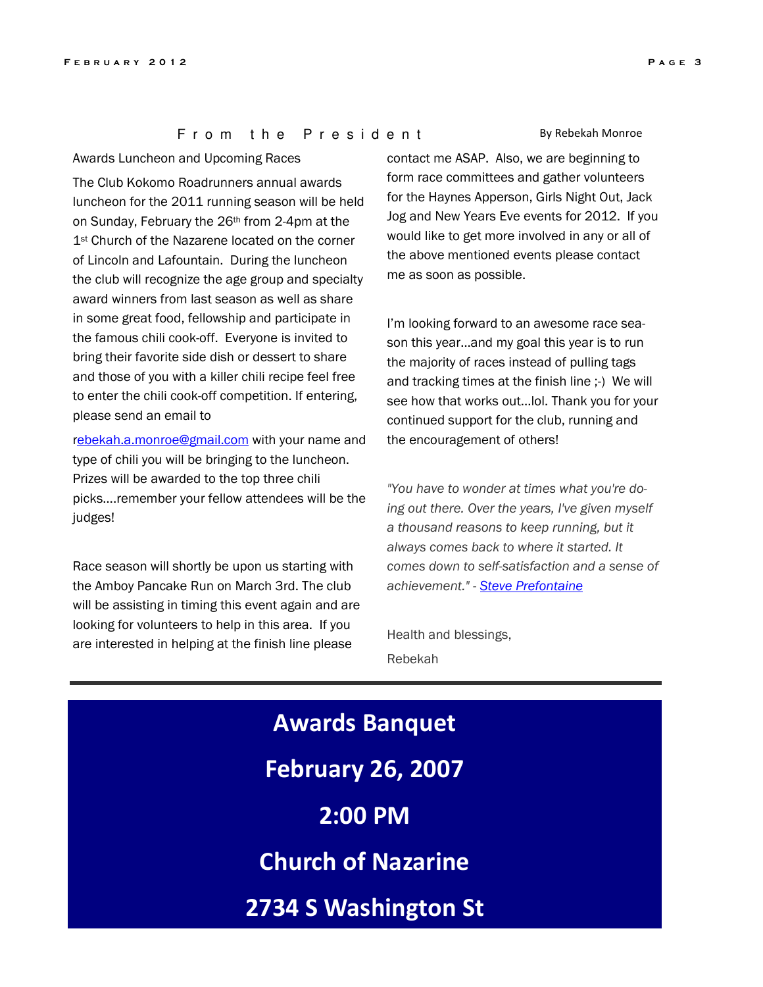#### From the President

Awards Luncheon and Upcoming Races

The Club Kokomo Roadrunners annual awards luncheon for the 2011 running season will be held on Sunday, February the 26th from 2-4pm at the 1<sup>st</sup> Church of the Nazarene located on the corner of Lincoln and Lafountain. During the luncheon the club will recognize the age group and specialty award winners from last season as well as share in some great food, fellowship and participate in the famous chili cook-off. Everyone is invited to bring their favorite side dish or dessert to share and those of you with a killer chili recipe feel free to enter the chili cook-off competition. If entering, please send an email to

rebekah.a.monroe@gmail.com with your name and type of chili you will be bringing to the luncheon. Prizes will be awarded to the top three chili picks….remember your fellow attendees will be the judges!

Race season will shortly be upon us starting with the Amboy Pancake Run on March 3rd. The club will be assisting in timing this event again and are looking for volunteers to help in this area. If you are interested in helping at the finish line please

By Rebekah Monroe

contact me ASAP. Also, we are beginning to form race committees and gather volunteers for the Haynes Apperson, Girls Night Out, Jack Jog and New Years Eve events for 2012. If you would like to get more involved in any or all of the above mentioned events please contact me as soon as possible.

I'm looking forward to an awesome race season this year…and my goal this year is to run the majority of races instead of pulling tags and tracking times at the finish line ;-) We will see how that works out...lol. Thank you for your continued support for the club, running and the encouragement of others!

"You have to wonder at times what you're doing out there. Over the years, I've given myself a thousand reasons to keep running, but it always comes back to where it started. It comes down to self-satisfaction and a sense of achievement." - Steve Prefontaine

Health and blessings, Rebekah

Awards Banquet February 26, 2007 2:00 PM Church of Nazarine 2734 S Washington St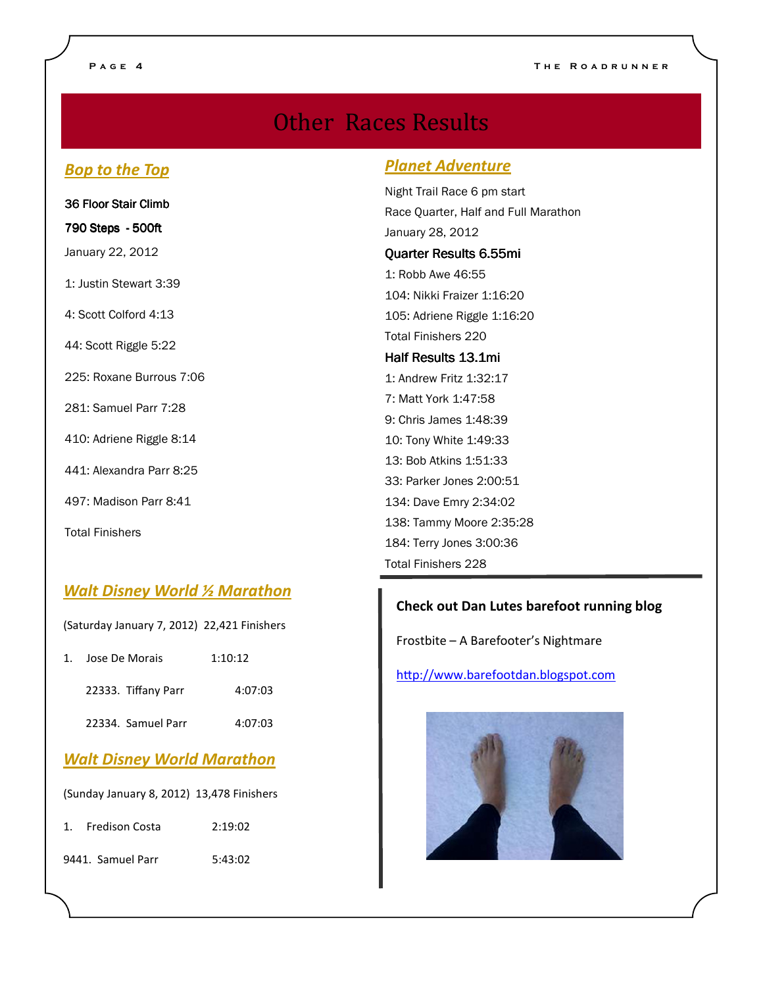### **Other Races Results**

### Bop to the Top

| 36 Floor Stair Climb     |
|--------------------------|
| 790 Steps - 500ft        |
| January 22, 2012         |
| 1: Justin Stewart 3:39   |
| 4: Scott Colford 4:13    |
| 44: Scott Riggle 5:22    |
| 225: Roxane Burrous 7:06 |
| 281: Samuel Parr 7:28    |
| 410: Adriene Riggle 8:14 |
| 441: Alexandra Parr 8:25 |
| 497: Madison Parr 8:41   |
| <b>Total Finishers</b>   |

### Walt Disney World 1/2 Marathon

(Saturday January 7, 2012) 22,421 Finishers

| 1 | Jose De Morais                            | 1:10:12 |
|---|-------------------------------------------|---------|
|   | 22333. Tiffany Parr                       | 4:07:03 |
|   | 22334. Samuel Parr                        | 4:07:03 |
|   | <b>Walt Disney World Marathon</b>         |         |
|   | (Sunday January 8, 2012) 13,478 Finishers |         |

1. Fredison Costa 2:19:02

9441. Samuel Parr 5:43:02

#### Planet Adventure

Night Trail Race 6 pm start Race Quarter, Half and Full Marathon January 28, 2012

#### Quarter Results 6.55mi

1: Robb Awe 46:55 104: Nikki Fraizer 1:16:20 105: Adriene Riggle 1:16:20 Total Finishers 220

#### Half Results 13.1mi

1: Andrew Fritz 1:32:17 7: Matt York 1:47:58 9: Chris James 1:48:39 10: Tony White 1:49:33 13: Bob Atkins 1:51:33 33: Parker Jones 2:00:51 134: Dave Emry 2:34:02 138: Tammy Moore 2:35:28 184: Terry Jones 3:00:36 Total Finishers 228

#### Check out Dan Lutes barefoot running blog

Frostbite – A Barefooter's Nightmare

http://www.barefootdan.blogspot.com

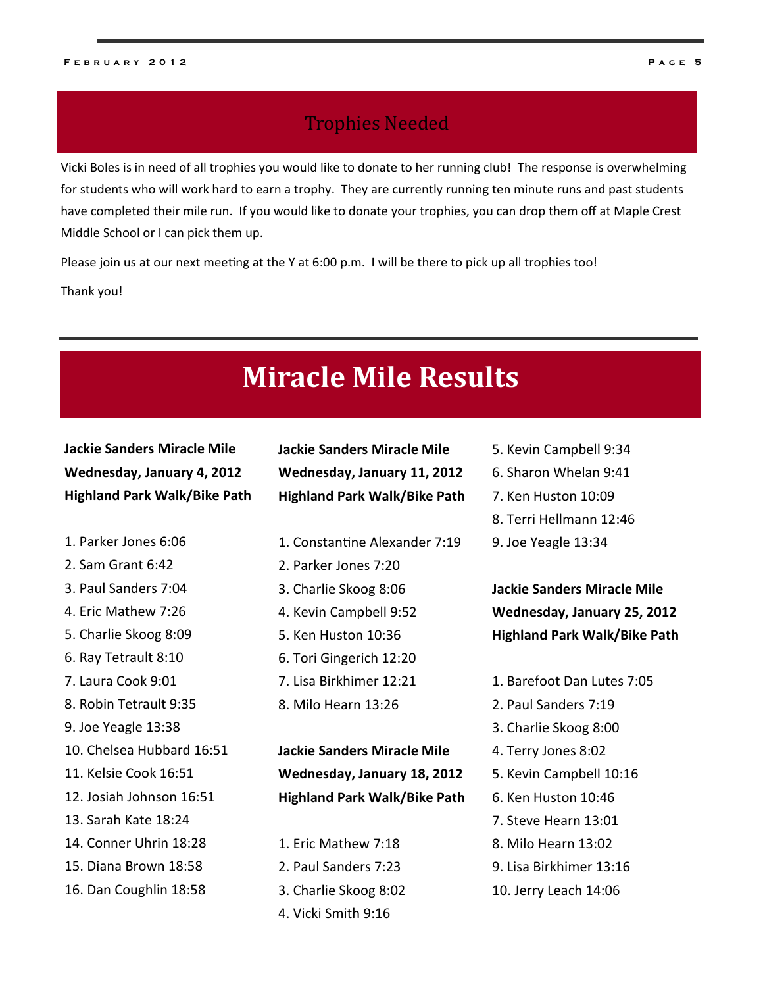### **Trophies Needed**

Vicki Boles is in need of all trophies you would like to donate to her running club! The response is overwhelming for students who will work hard to earn a trophy. They are currently running ten minute runs and past students have completed their mile run. If you would like to donate your trophies, you can drop them off at Maple Crest Middle School or I can pick them up.

Please join us at our next meeting at the Y at 6:00 p.m. I will be there to pick up all trophies too!

Thank you!

### **Miracle Mile Results**

Jackie Sanders Miracle Mile Wednesday, January 4, 2012 Highland Park Walk/Bike Path

- 1. Parker Jones 6:06
- 2. Sam Grant 6:42
- 3. Paul Sanders 7:04
- 4. Eric Mathew 7:26
- 5. Charlie Skoog 8:09
- 6. Ray Tetrault 8:10
- 7. Laura Cook 9:01
- 8. Robin Tetrault 9:35
- 9. Joe Yeagle 13:38
- 10. Chelsea Hubbard 16:51
- 11. Kelsie Cook 16:51
- 12. Josiah Johnson 16:51
- 13. Sarah Kate 18:24
- 14. Conner Uhrin 18:28
- 15. Diana Brown 18:58
- 16. Dan Coughlin 18:58

Jackie Sanders Miracle Mile Wednesday, January 11, 2012 Highland Park Walk/Bike Path

- 1. Constantine Alexander 7:19
- 2. Parker Jones 7:20
- 3. Charlie Skoog 8:06
- 4. Kevin Campbell 9:52
- 5. Ken Huston 10:36
- 6. Tori Gingerich 12:20
- 7. Lisa Birkhimer 12:21
- 8. Milo Hearn 13:26

Jackie Sanders Miracle Mile Wednesday, January 18, 2012 Highland Park Walk/Bike Path

- 1. Eric Mathew 7:18
- 2. Paul Sanders 7:23
- 3. Charlie Skoog 8:02
- 4. Vicki Smith 9:16
- 5. Kevin Campbell 9:34
- 6. Sharon Whelan 9:41
- 7. Ken Huston 10:09
- 8. Terri Hellmann 12:46
- 9. Joe Yeagle 13:34

Jackie Sanders Miracle Mile Wednesday, January 25, 2012 Highland Park Walk/Bike Path

- 1. Barefoot Dan Lutes 7:05
- 2. Paul Sanders 7:19
- 3. Charlie Skoog 8:00
- 4. Terry Jones 8:02
- 5. Kevin Campbell 10:16
- 6. Ken Huston 10:46
- 7. Steve Hearn 13:01
- 8. Milo Hearn 13:02
- 9. Lisa Birkhimer 13:16
- 10. Jerry Leach 14:06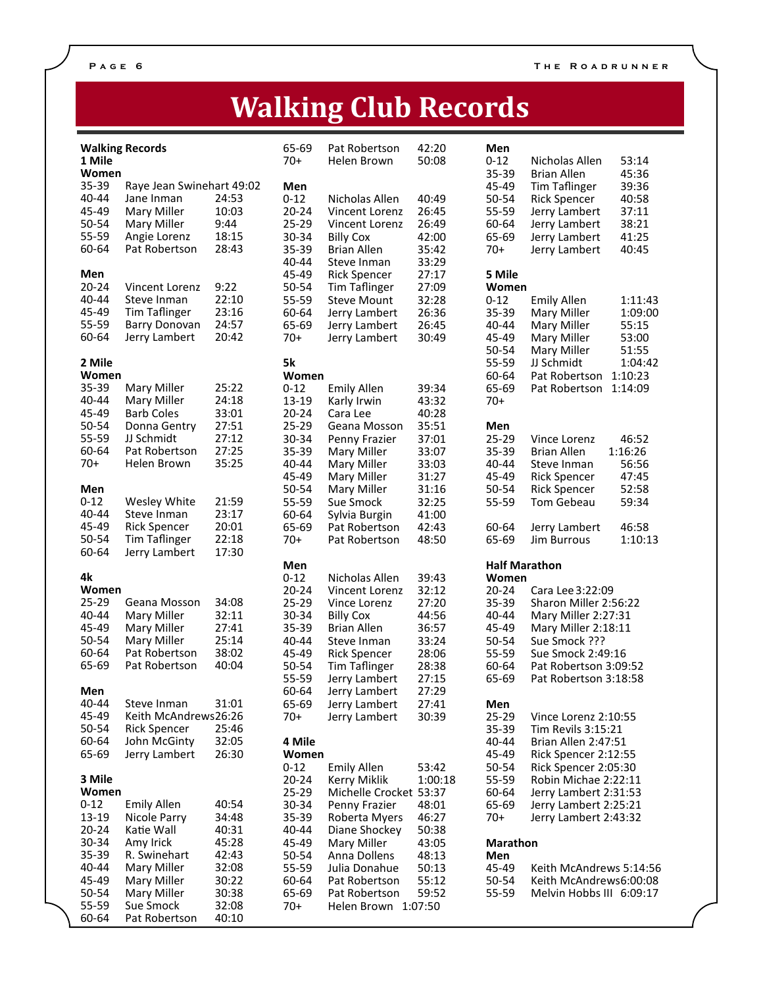## Walking Club Records

| 1 Mile            | <b>Walking Records</b>             |                | 65-69<br>$70+$ | Pat Robertson<br>Helen Brown   | 42:20<br>50:08 | Men<br>$0 - 12$ | Nicholas Allen<br>53:14                                |
|-------------------|------------------------------------|----------------|----------------|--------------------------------|----------------|-----------------|--------------------------------------------------------|
| Women             |                                    |                |                |                                |                | 35-39           | 45:36<br><b>Brian Allen</b>                            |
| 35-39             | Raye Jean Swinehart 49:02          |                | Men            |                                |                | 45-49           | 39:36<br><b>Tim Taflinger</b>                          |
| 40-44             | Jane Inman                         | 24:53          | $0 - 12$       | Nicholas Allen                 | 40:49          | 50-54           | 40:58<br><b>Rick Spencer</b>                           |
| 45-49             | Mary Miller                        | 10:03          | $20 - 24$      | Vincent Lorenz                 | 26:45          | 55-59           | Jerry Lambert<br>37:11                                 |
| 50-54             | Mary Miller                        | 9:44           | 25-29          | Vincent Lorenz                 | 26:49          | 60-64           | 38:21<br>Jerry Lambert                                 |
| 55-59             | Angie Lorenz                       | 18:15          | 30-34          | <b>Billy Cox</b>               | 42:00          | 65-69           | Jerry Lambert<br>41:25                                 |
| 60-64             | Pat Robertson                      | 28:43          | 35-39          | <b>Brian Allen</b>             | 35:42          | $70+$           | 40:45<br>Jerry Lambert                                 |
|                   |                                    |                | 40-44          | Steve Inman                    | 33:29          |                 |                                                        |
| Men               |                                    |                | 45-49          | <b>Rick Spencer</b>            | 27:17          | 5 Mile          |                                                        |
| $20 - 24$         | Vincent Lorenz                     | 9:22           | 50-54          | Tim Taflinger                  | 27:09          | Women           |                                                        |
| 40-44             | Steve Inman                        | 22:10          | 55-59          | <b>Steve Mount</b>             | 32:28          | $0 - 12$        | <b>Emily Allen</b><br>1:11:43                          |
| 45-49             | <b>Tim Taflinger</b>               | 23:16          | 60-64          | Jerry Lambert                  | 26:36          | 35-39           | Mary Miller<br>1:09:00                                 |
| 55-59             | Barry Donovan                      | 24:57          | 65-69          | Jerry Lambert                  | 26:45          | 40-44           | Mary Miller<br>55:15                                   |
| 60-64             | Jerry Lambert                      | 20:42          | $70+$          | Jerry Lambert                  | 30:49          | 45-49           | Mary Miller<br>53:00                                   |
|                   |                                    |                |                |                                |                | 50-54           | Mary Miller<br>51:55                                   |
| 2 Mile            |                                    |                | 5k             |                                |                | 55-59           | JJ Schmidt<br>1:04:42                                  |
| Women             |                                    |                | Women          |                                |                | 60-64           | Pat Robertson<br>1:10:23                               |
| 35-39             | Mary Miller                        | 25:22          | $0 - 12$       | <b>Emily Allen</b>             | 39:34          | 65-69           | Pat Robertson<br>1:14:09                               |
| 40-44             | Mary Miller                        | 24:18          | 13-19          | Karly Irwin                    | 43:32          | $70+$           |                                                        |
| 45-49             | <b>Barb Coles</b>                  | 33:01          | $20 - 24$      | Cara Lee                       | 40:28          |                 |                                                        |
| 50-54             | Donna Gentry                       | 27:51          | 25-29          | Geana Mosson                   | 35:51          | Men             |                                                        |
| 55-59<br>60-64    | JJ Schmidt<br>Pat Robertson        | 27:12<br>27:25 | 30-34          | Penny Frazier                  | 37:01          | 25-29           | 46:52<br>Vince Lorenz<br>1:16:26<br><b>Brian Allen</b> |
| $70+$             |                                    | 35:25          | 35-39          | Mary Miller<br>Mary Miller     | 33:07          | 35-39           |                                                        |
|                   | Helen Brown                        |                | 40-44          |                                | 33:03          | 40-44           | Steve Inman<br>56:56                                   |
| Men               |                                    |                | 45-49<br>50-54 | Mary Miller                    | 31:27<br>31:16 | 45-49<br>50-54  | <b>Rick Spencer</b><br>47:45<br>52:58                  |
| $0 - 12$          | Wesley White                       | 21:59          | 55-59          | Mary Miller                    | 32:25          | 55-59           | <b>Rick Spencer</b><br>59:34<br>Tom Gebeau             |
| 40-44             | Steve Inman                        | 23:17          | 60-64          | Sue Smock                      |                |                 |                                                        |
| 45-49             | <b>Rick Spencer</b>                | 20:01          | 65-69          | Sylvia Burgin<br>Pat Robertson | 41:00<br>42:43 | 60-64           | Jerry Lambert<br>46:58                                 |
| 50-54             | <b>Tim Taflinger</b>               | 22:18          | $70+$          | Pat Robertson                  | 48:50          | 65-69           | <b>Jim Burrous</b><br>1:10:13                          |
| 60-64             | Jerry Lambert                      | 17:30          |                |                                |                |                 |                                                        |
|                   |                                    |                | Men            |                                |                |                 | <b>Half Marathon</b>                                   |
| 4k                |                                    |                | $0 - 12$       | Nicholas Allen                 | 39:43          | Women           |                                                        |
| Women             |                                    |                | $20 - 24$      | Vincent Lorenz                 | 32:12          | $20 - 24$       | Cara Lee 3:22:09                                       |
| 25-29             | Geana Mosson                       | 34:08          | 25-29          | Vince Lorenz                   |                |                 | Sharon Miller 2:56:22                                  |
| 40-44             |                                    |                |                |                                | 27:20          | 35-39           |                                                        |
|                   | <b>Mary Miller</b>                 | 32:11          | 30-34          | <b>Billy Cox</b>               | 44:56          | 40-44           | Mary Miller 2:27:31                                    |
| 45-49             | Mary Miller                        | 27:41          | $35 - 39$      | <b>Brian Allen</b>             | 36:57          | 45-49           | Mary Miller 2:18:11                                    |
| 50-54             | Mary Miller                        | 25:14          | 40-44          | Steve Inman                    | 33:24          | 50-54           | Sue Smock ???                                          |
| 60-64             | Pat Robertson                      | 38:02          | 45-49          | <b>Rick Spencer</b>            | 28:06          | 55-59           | Sue Smock 2:49:16                                      |
| 65-69             | Pat Robertson                      | 40:04          | 50-54          | <b>Tim Taflinger</b>           | 28:38          | 60-64           | Pat Robertson 3:09:52                                  |
|                   |                                    |                | 55-59          | Jerry Lambert                  | 27:15          | 65-69           | Pat Robertson 3:18:58                                  |
| Men               |                                    |                | 60-64          | Jerry Lambert                  | 27:29          |                 |                                                        |
| 40-44             | Steve Inman                        | 31:01          | 65-69          | Jerry Lambert                  | 27:41          | Men             |                                                        |
| 45-49             | Keith McAndrews26:26               |                | $70+$          | Jerry Lambert                  | 30:39          | 25-29           | Vince Lorenz 2:10:55                                   |
| 50-54             | <b>Rick Spencer</b>                | 25:46          |                |                                |                | $35 - 39$       | Tim Revils 3:15:21                                     |
| 60-64             | John McGinty                       | 32:05          | 4 Mile         |                                |                | 40-44           | Brian Allen 2:47:51                                    |
| 65-69             | Jerry Lambert                      | 26:30          | Women          |                                |                | 45-49           | Rick Spencer 2:12:55                                   |
|                   |                                    |                | $0 - 12$       | <b>Emily Allen</b>             | 53:42          | 50-54           | Rick Spencer 2:05:30                                   |
| 3 Mile            |                                    |                | $20 - 24$      | Kerry Miklik                   | 1:00:18        | 55-59           | Robin Michae 2:22:11                                   |
| Women             |                                    | 40:54          | 25-29          | Michelle Crocket 53:37         |                | 60-64           | Jerry Lambert 2:31:53                                  |
| $0 - 12$<br>13-19 | <b>Emily Allen</b><br>Nicole Parry | 34:48          | 30-34<br>35-39 | Penny Frazier<br>Roberta Myers | 48:01<br>46:27 | 65-69<br>70+    | Jerry Lambert 2:25:21<br>Jerry Lambert 2:43:32         |
| $20 - 24$         | Katie Wall                         | 40:31          | 40-44          | Diane Shockey                  | 50:38          |                 |                                                        |
| 30-34             | Amy Irick                          | 45:28          | 45-49          | Mary Miller                    | 43:05          | <b>Marathon</b> |                                                        |
| 35-39             | R. Swinehart                       | 42:43          | 50-54          | Anna Dollens                   | 48:13          | Men             |                                                        |
| 40-44             | Mary Miller                        | 32:08          | 55-59          | Julia Donahue                  | 50:13          | 45-49           | Keith McAndrews 5:14:56                                |
| 45-49             | Mary Miller                        | 30:22          | 60-64          | Pat Robertson                  | 55:12          | 50-54           | Keith McAndrews6:00:08                                 |
| 50-54             | Mary Miller                        | 30:38          | 65-69          | Pat Robertson                  | 59:52          | 55-59           | Melvin Hobbs III 6:09:17                               |
| 55-59<br>60-64    | Sue Smock<br>Pat Robertson         | 32:08<br>40:10 | $70+$          | Helen Brown 1:07:50            |                |                 |                                                        |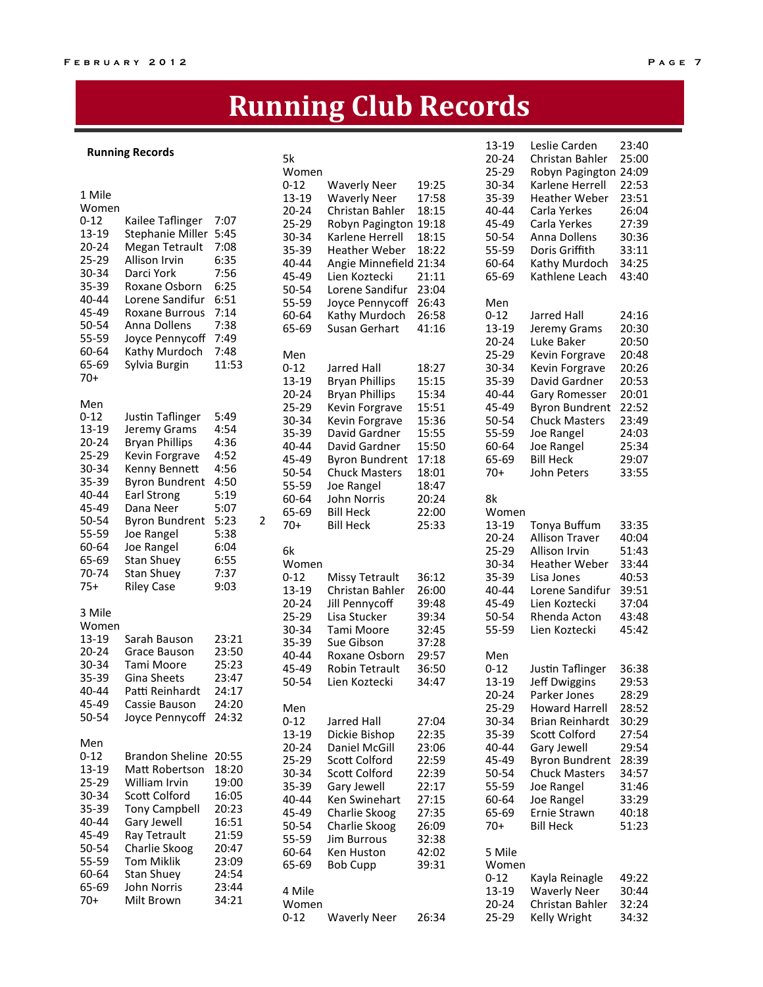## **Running Club Records**

### Running Records 5k

|                |                                 |              |                | Women     |                        |       | 25-29     | Robyn Pagington 24:09 |       |
|----------------|---------------------------------|--------------|----------------|-----------|------------------------|-------|-----------|-----------------------|-------|
|                |                                 |              |                | $0 - 12$  | <b>Waverly Neer</b>    | 19:25 | 30-34     | Karlene Herrell       | 22:53 |
| 1 Mile         |                                 |              |                | 13-19     | <b>Waverly Neer</b>    | 17:58 | $35 - 39$ | <b>Heather Weber</b>  | 23:51 |
| Women          |                                 |              |                | 20-24     | Christan Bahler        | 18:15 | $40 - 44$ | Carla Yerkes          | 26:04 |
| $0 - 12$       | Kailee Taflinger                | 7:07         |                | 25-29     | Robyn Pagington 19:18  |       | 45-49     | Carla Yerkes          | 27:39 |
| 13-19          | Stephanie Miller                | 5:45         |                | 30-34     | Karlene Herrell        | 18:15 | 50-54     | Anna Dollens          | 30:36 |
| $20 - 24$      | Megan Tetrault                  | 7:08         |                | 35-39     | <b>Heather Weber</b>   | 18:22 | 55-59     | Doris Griffith        | 33:11 |
| 25-29          | Allison Irvin                   | 6:35         |                | 40-44     | Angie Minnefield 21:34 |       | 60-64     | Kathy Murdoch         | 34:25 |
| 30-34          | Darci York                      | 7:56         |                | 45-49     | Lien Koztecki          | 21:11 | 65-69     | Kathlene Leach        | 43:40 |
| 35-39          | Roxane Osborn                   | 6:25         |                | 50-54     | Lorene Sandifur        | 23:04 |           |                       |       |
| 40-44          | Lorene Sandifur                 | 6:51         |                | 55-59     | Joyce Pennycoff        | 26:43 | Men       |                       |       |
| 45-49          | <b>Roxane Burrous</b>           | 7:14         |                | 60-64     | Kathy Murdoch          | 26:58 | $0 - 12$  | Jarred Hall           | 24:16 |
| 50-54          | Anna Dollens                    | 7:38         |                | 65-69     | Susan Gerhart          | 41:16 | 13-19     | Jeremy Grams          | 20:30 |
| 55-59          | Joyce Pennycoff                 | 7:49         |                |           |                        |       | $20 - 24$ | Luke Baker            | 20:50 |
| 60-64          | Kathy Murdoch                   | 7:48         |                | Men       |                        |       | 25-29     | Kevin Forgrave        | 20:48 |
| 65-69          | Sylvia Burgin                   | 11:53        |                | $0 - 12$  | <b>Jarred Hall</b>     | 18:27 | 30-34     |                       | 20:26 |
| 70+            |                                 |              |                |           |                        | 15:15 | 35-39     | Kevin Forgrave        | 20:53 |
|                |                                 |              |                | 13-19     | <b>Bryan Phillips</b>  |       |           | David Gardner         |       |
| Men            |                                 |              |                | 20-24     | <b>Bryan Phillips</b>  | 15:34 | 40-44     | Gary Romesser         | 20:01 |
| $0 - 12$       | Justin Taflinger                | 5:49         |                | 25-29     | Kevin Forgrave         | 15:51 | 45-49     | <b>Byron Bundrent</b> | 22:52 |
| 13-19          | Jeremy Grams                    | 4:54         |                | 30-34     | Kevin Forgrave         | 15:36 | 50-54     | <b>Chuck Masters</b>  | 23:49 |
| $20 - 24$      | <b>Bryan Phillips</b>           | 4:36         |                | 35-39     | David Gardner          | 15:55 | 55-59     | Joe Rangel            | 24:03 |
| 25-29          | Kevin Forgrave                  | 4:52         |                | 40-44     | David Gardner          | 15:50 | 60-64     | Joe Rangel            | 25:34 |
| 30-34          | Kenny Bennett                   | 4:56         |                | 45-49     | <b>Byron Bundrent</b>  | 17:18 | 65-69     | <b>Bill Heck</b>      | 29:07 |
| 35-39          | <b>Byron Bundrent</b>           | 4:50         |                | 50-54     | <b>Chuck Masters</b>   | 18:01 | $70+$     | John Peters           | 33:55 |
| 40-44          |                                 | 5:19         |                | 55-59     | Joe Rangel             | 18:47 |           |                       |       |
| 45-49          | <b>Earl Strong</b><br>Dana Neer | 5:07         |                | 60-64     | John Norris            | 20:24 | 8k        |                       |       |
|                |                                 |              | $\overline{2}$ | 65-69     | <b>Bill Heck</b>       | 22:00 | Women     |                       |       |
| 50-54          | <b>Byron Bundrent</b>           | 5:23         |                | $70+$     | <b>Bill Heck</b>       | 25:33 | 13-19     | Tonya Buffum          | 33:35 |
| 55-59<br>60-64 | Joe Rangel                      | 5:38         |                |           |                        |       | $20 - 24$ | <b>Allison Traver</b> | 40:04 |
| 65-69          | Joe Rangel                      | 6:04<br>6:55 |                | 6k        |                        |       | $25 - 29$ | Allison Irvin         | 51:43 |
|                | <b>Stan Shuey</b>               |              |                | Women     |                        |       | 30-34     | <b>Heather Weber</b>  | 33:44 |
| 70-74          | <b>Stan Shuey</b>               | 7:37         |                | $0 - 12$  | Missy Tetrault         | 36:12 | 35-39     | Lisa Jones            | 40:53 |
| $75+$          | <b>Riley Case</b>               | 9:03         |                | 13-19     | Christan Bahler        | 26:00 | 40-44     | Lorene Sandifur       | 39:51 |
|                |                                 |              |                | $20 - 24$ | Jill Pennycoff         | 39:48 | 45-49     | Lien Koztecki         | 37:04 |
| 3 Mile         |                                 |              |                | 25-29     | Lisa Stucker           | 39:34 | 50-54     | Rhenda Acton          | 43:48 |
| Women          |                                 |              |                | 30-34     | Tami Moore             | 32:45 | 55-59     | Lien Koztecki         | 45:42 |
| 13-19          | Sarah Bauson                    | 23:21        |                | 35-39     | Sue Gibson             | 37:28 |           |                       |       |
| $20 - 24$      | Grace Bauson                    | 23:50        |                | 40-44     | Roxane Osborn          | 29:57 | Men       |                       |       |
| 30-34          | Tami Moore                      | 25:23        |                | 45-49     | <b>Robin Tetrault</b>  | 36:50 | $0 - 12$  | Justin Taflinger      | 36:38 |
| 35-39          | Gina Sheets                     | 23:47        |                | 50-54     | Lien Koztecki          | 34:47 | 13-19     | Jeff Dwiggins         | 29:53 |
| 40-44          | Patti Reinhardt                 | 24:17        |                |           |                        |       | $20 - 24$ | Parker Jones          | 28:29 |
| 45-49          | Cassie Bauson                   | 24:20        |                | Men       |                        |       | 25-29     | Howard Harrell        | 28:52 |
| 50-54          | Joyce Pennycoff                 | 24:32        |                | $0 - 12$  | Jarred Hall            | 27:04 | 30-34     | Brian Reinhardt       | 30:29 |
|                |                                 |              |                | 13-19     | Dickie Bishop          | 22:35 | $35 - 39$ | Scott Colford         | 27:54 |
| Men            |                                 |              |                | $20 - 24$ | Daniel McGill          | 23:06 | 40-44     | Gary Jewell           | 29:54 |
| $0 - 12$       | Brandon Sheline 20:55           |              |                | $25 - 29$ | Scott Colford          | 22:59 | 45-49     | <b>Byron Bundrent</b> | 28:39 |
| 13-19          | Matt Robertson                  | 18:20        |                | 30-34     | Scott Colford          | 22:39 | 50-54     | <b>Chuck Masters</b>  | 34:57 |
| 25-29          | William Irvin                   | 19:00        |                | 35-39     | Gary Jewell            | 22:17 | 55-59     | Joe Rangel            | 31:46 |
| 30-34          | Scott Colford                   | 16:05        |                | 40-44     | Ken Swinehart          | 27:15 | 60-64     | Joe Rangel            | 33:29 |
| 35-39          | <b>Tony Campbell</b>            | 20:23        |                | 45-49     | Charlie Skoog          | 27:35 | 65-69     | Ernie Strawn          | 40:18 |
| 40-44          | Gary Jewell                     | 16:51        |                | 50-54     | Charlie Skoog          | 26:09 | 70+       | <b>Bill Heck</b>      | 51:23 |
| 45-49          | Ray Tetrault                    | 21:59        |                | 55-59     | Jim Burrous            | 32:38 |           |                       |       |
| 50-54          | Charlie Skoog                   | 20:47        |                | 60-64     | Ken Huston             | 42:02 | 5 Mile    |                       |       |
| 55-59          | <b>Tom Miklik</b>               | 23:09        |                | 65-69     | <b>Bob Cupp</b>        | 39:31 | Women     |                       |       |
| 60-64          | <b>Stan Shuey</b>               | 24:54        |                |           |                        |       | $0 - 12$  | Kayla Reinagle        | 49:22 |
| 65-69          | John Norris                     | 23:44        |                | 4 Mile    |                        |       | 13-19     | <b>Waverly Neer</b>   | 30:44 |
| 70+            | Milt Brown                      | 34:21        |                | Women     |                        |       | 20-24     | Christan Bahler       | 32:24 |
|                |                                 |              |                | $0 - 12$  | <b>Waverly Neer</b>    | 26:34 | 25-29     | Kelly Wright          | 34:32 |
|                |                                 |              |                |           |                        |       |           |                       |       |

13-19 Leslie Carden 23:40<br>20-24 Christan Bahler 25:00 20-24 Christan Bahler 25:00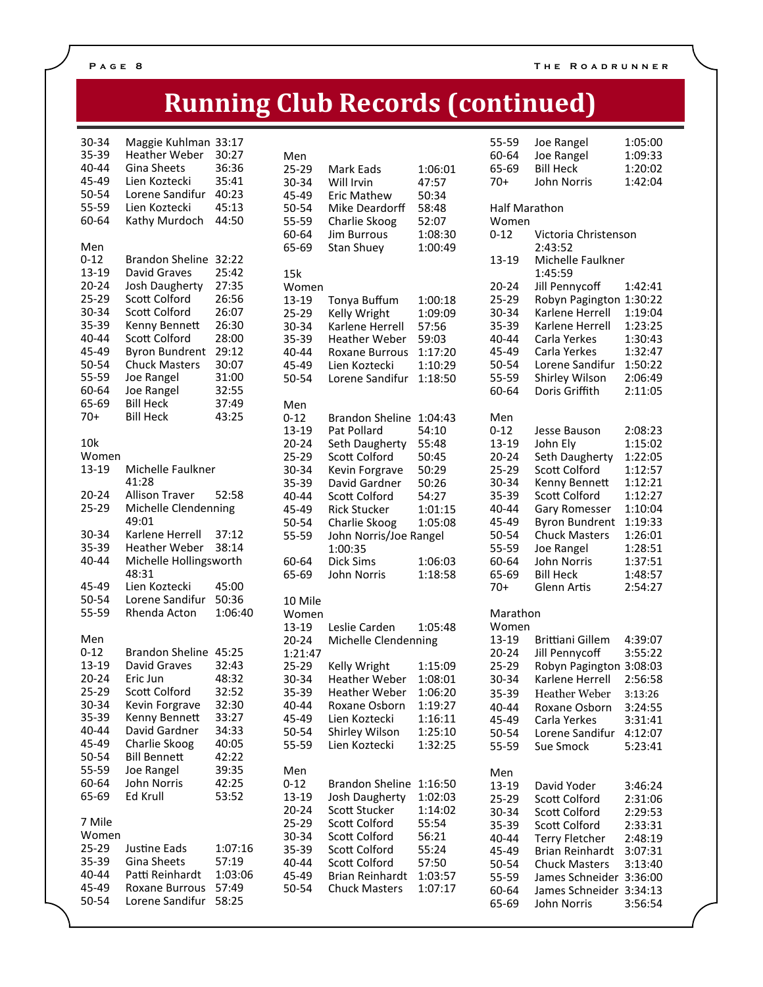## **Running Club Records (continued)**

| 30-34<br>35-39<br>40-44<br>45-49<br>50-54<br>55-59<br>60-64                                                                     | Maggie Kuhlman<br><b>Heather Weber</b><br><b>Gina Sheets</b><br>Lien Koztecki<br>Lorene Sandifur<br>Lien Koztecki<br>Kathy Murdoch                                                                                                                       | 33:17<br>30:27<br>36:36<br>35:41<br>40:23<br>45:13<br>44:50                                                       |
|---------------------------------------------------------------------------------------------------------------------------------|----------------------------------------------------------------------------------------------------------------------------------------------------------------------------------------------------------------------------------------------------------|-------------------------------------------------------------------------------------------------------------------|
| Men<br>$0 - 12$<br>13-19<br>$20 - 24$<br>25-29<br>30-34<br>35-39<br>40-44<br>45-49<br>50-54<br>55-59<br>60-64<br>65-69<br>$70+$ | <b>Brandon Sheline</b><br><b>David Graves</b><br>Josh Daugherty<br>Scott Colford<br>Scott Colford<br>Kenny Bennett<br>Scott Colford<br><b>Byron Bundrent</b><br><b>Chuck Masters</b><br>Joe Rangel<br>Joe Rangel<br><b>Bill Heck</b><br><b>Bill Heck</b> | 32:22<br>25:42<br>27:35<br>26:56<br>26:07<br>26:30<br>28:00<br>29:12<br>30:07<br>31:00<br>32:55<br>37:49<br>43:25 |
| 10 <sub>k</sub><br>Women<br>13-19                                                                                               | Michelle Faulkner<br>41:28                                                                                                                                                                                                                               |                                                                                                                   |
| $20 - 24$<br>25-29                                                                                                              | <b>Allison Traver</b><br>Michelle Clendenning<br>49:01                                                                                                                                                                                                   | 52:58                                                                                                             |
| 30-34<br>35-39<br>40-44                                                                                                         | Karlene Herrell<br><b>Heather Weber</b><br>Michelle Hollingsworth                                                                                                                                                                                        | 37:12<br>38:14                                                                                                    |
| 45-49<br>50-54<br>55-59                                                                                                         | 48:31<br>Lien Koztecki<br>Lorene Sandifur<br>Rhenda Acton                                                                                                                                                                                                | 45:00<br>50:36<br>1:06:40                                                                                         |
| Men<br>$0 - 12$<br>13-19<br>$20 - 24$<br>$25 - 29$<br>30-34<br>35-39<br>40-44<br>45-49<br>50-54<br>55-59<br>60-64<br>65-69      | <b>Brandon Sheline</b><br>David Graves<br>Eric Jun<br>Scott Colford<br>Kevin Forgrave<br>Kenny Bennett<br>David Gardner<br>Charlie Skoog<br><b>Bill Bennett</b><br>Joe Rangel<br>John Norris<br>Ed Krull                                                 | 45:25<br>32:43<br>48:32<br>32:52<br>32:30<br>33:27<br>34:33<br>40:05<br>42:22<br>39:35<br>42:25<br>53:52          |
| 7 Mile<br>Women<br>25-29<br>35-39<br>40-44<br>45-49<br>50-54                                                                    | Justine Eads<br>Gina Sheets<br>Patti Reinhardt<br>Roxane Burrous<br>Lorene Sandifur                                                                                                                                                                      | 1:07:16<br>57:19<br>1:03:06<br>57:49<br>58:25                                                                     |

| Men<br>25-29<br>30-34<br>45-49<br>50-54<br>55-59<br>60-64<br>65-69                                                 | Mark Eads<br>Will Irvin<br>Eric Mathew<br>Mike Deardorff<br>Charlie Skoog<br><b>Jim Burrous</b><br>Stan Shuey                                                                                                                                | 1:06:01<br>47:57<br>50:34<br>58:48<br>52:07<br>1:08:30<br>1:00:49                                         |
|--------------------------------------------------------------------------------------------------------------------|----------------------------------------------------------------------------------------------------------------------------------------------------------------------------------------------------------------------------------------------|-----------------------------------------------------------------------------------------------------------|
| 15k<br>Women<br>13-19<br>25-29<br>30-34<br>35-39<br>40-44<br>45-49<br>50-54                                        | Tonya Buffum<br>Kelly Wright<br>Karlene Herrell<br><b>Heather Weber</b><br><b>Roxane Burrous</b><br>Lien Koztecki<br>Lorene Sandifur                                                                                                         | 1:00:18<br>1:09:09<br>57:56<br>59:03<br>1:17:20<br>1:10:29<br>1:18:50                                     |
| Men<br>$0 - 12$<br>13-19<br>20-24<br>25-29<br>30-34<br>35-39<br>40-44<br>45-49<br>50-54<br>55-59<br>60-64<br>65-69 | <b>Brandon Sheline</b><br>Pat Pollard<br>Seth Daugherty<br>Scott Colford<br>Kevin Forgrave<br>David Gardner<br>Scott Colford<br><b>Rick Stucker</b><br>Charlie Skoog<br>John Norris/Joe Rangel<br>1:00:35<br><b>Dick Sims</b><br>John Norris | 1:04:43<br>54:10<br>55:48<br>50:45<br>50:29<br>50:26<br>54:27<br>1:01:15<br>1:05:08<br>1:06:03<br>1:18:58 |
| 10 Mile<br>Women<br>13-19<br>20-24<br>1:21:47<br>25-29<br>30-34<br>35-39<br>40-44<br>45-49<br>50-54<br>55-59       | Leslie Carden<br>Michelle Clendenning<br>Kelly Wright<br><b>Heather Weber</b><br><b>Heather Weber</b><br>Roxane Osborn<br>Lien Koztecki<br>Shirley Wilson<br>Lien Koztecki                                                                   | 1:05:48<br>1:15:09<br>1:08:01<br>1:06:20<br>1:19:27<br>1:16:11<br>1:25:10<br>1:32:25                      |
| Men<br>$0 - 12$<br>13-19<br>$20 - 24$<br>25-29<br>30-34<br>35-39<br>40-44<br>45-49<br>50-54                        | <b>Brandon Sheline</b><br>Josh Daugherty<br>Scott Stucker<br>Scott Colford<br>Scott Colford<br>Scott Colford<br>Scott Colford<br><b>Brian Reinhardt</b><br><b>Chuck Masters</b>                                                              | 1:16:50<br>1:02:03<br>1:14:02<br>55:54<br>56:21<br>55:24<br>57:50<br>1:03:57<br>1:07:17                   |

| 55-59         | Joe Rangel              | 1:05:00 |
|---------------|-------------------------|---------|
| 60-64         | Joe Rangel              | 1:09:33 |
| 65-69         | <b>Bill Heck</b>        | 1:20:02 |
| 70+           | John Norris             | 1:42:04 |
|               |                         |         |
| Half Marathon |                         |         |
| Women         |                         |         |
| $0 - 12$      | Victoria Christenson    |         |
|               | 2:43:52                 |         |
| 13-19         | Michelle Faulkner       |         |
|               | 1:45:59                 |         |
| 20-24         | Jill Pennycoff          | 1:42:41 |
| 25-29         | Robyn Pagington         | 1:30:22 |
| 30-34         | Karlene Herrell         | 1:19:04 |
| 35-39         | Karlene Herrell         | 1:23:25 |
| 40-44         | Carla Yerkes            | 1:30:43 |
| 45-49         | Carla Yerkes            | 1:32:47 |
| 50-54         | Lorene Sandifur         | 1:50:22 |
| 55-59         | Shirley Wilson          | 2:06:49 |
|               | Doris Griffith          | 2:11:05 |
| 60-64         |                         |         |
| Men           |                         |         |
| $0 - 12$      | Jesse Bauson            | 2:08:23 |
| 13-19         | John Ely                | 1:15:02 |
| $20 - 24$     | Seth Daugherty          | 1:22:05 |
| 25-29         | Scott Colford           | 1:12:57 |
| 30-34         | Kenny Bennett           | 1:12:21 |
| 35-39         | Scott Colford           | 1:12:27 |
|               |                         |         |
| 40-44         | Gary Romesser           | 1:10:04 |
| 45-49         | <b>Byron Bundrent</b>   | 1:19:33 |
| 50-54         | <b>Chuck Masters</b>    | 1:26:01 |
| 55-59         | Joe Rangel              | 1:28:51 |
| 60-64         | John Norris             | 1:37:51 |
| 65-69         | <b>Bill Heck</b>        | 1:48:57 |
| 70+           | Glenn Artis             | 2:54:27 |
| Marathon      |                         |         |
| Women         |                         |         |
| 13-19         | <b>Brittiani Gillem</b> | 4:39:07 |
| 20-24         | Jill Pennycoff          | 3:55:22 |
| 25-29         | Robyn Pagington         | 3:08:03 |
| 30-34         | Karlene Herrell         | 2:56:58 |
|               |                         |         |
| 35-39         | <b>Heather Weber</b>    | 3:13:26 |
| 40-44         | Roxane Osborn           | 3:24:55 |
| 45-49         | Carla Yerkes            | 3:31:41 |
| 50-54         | Lorene Sandifur         | 4:12:07 |
| 55-59         | Sue Smock               | 5:23:41 |
| Men           |                         |         |
| 13-19         | David Yoder             | 3:46:24 |
| 25-29         | Scott Colford           | 2:31:06 |
|               | Scott Colford           |         |
| 30-34         |                         | 2:29:53 |
| 35-39         | Scott Colford           | 2:33:31 |
| 40-44         | <b>Terry Fletcher</b>   | 2:48:19 |
| 45-49         | <b>Brian Reinhardt</b>  | 3:07:31 |
| 50-54         | <b>Chuck Masters</b>    | 3:13:40 |
| 55-59         | James Schneider         | 3:36:00 |
| 60-64         | James Schneider         | 3:34:13 |
| 65-69         | John Norris             | 3:56:54 |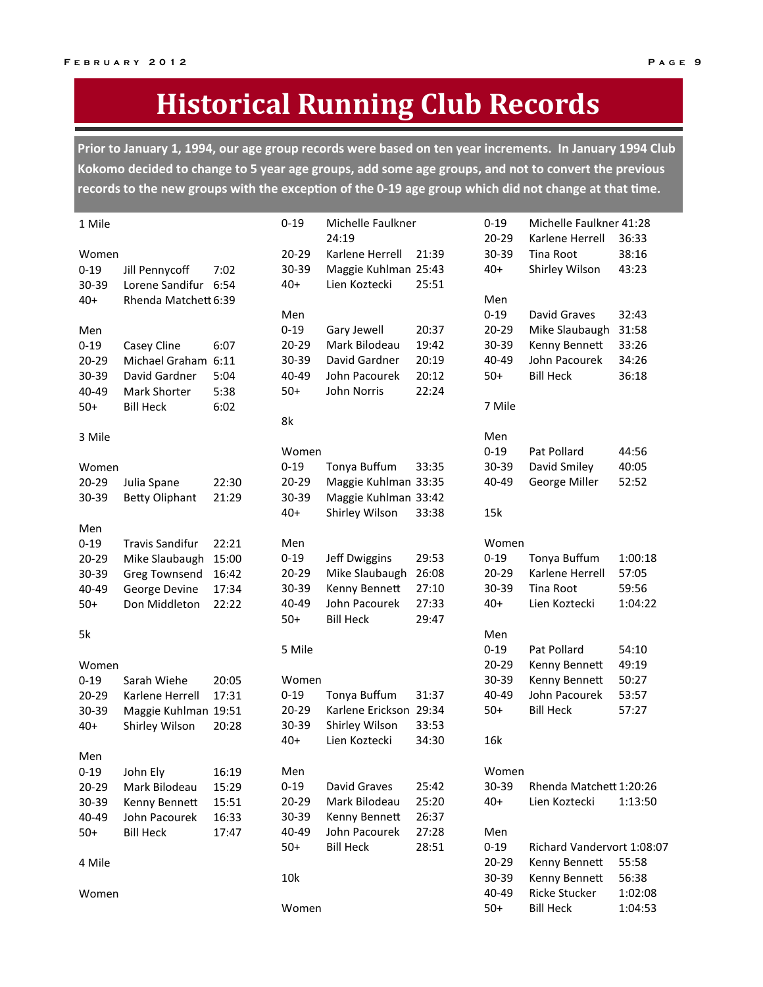## **Historical Running Club Records**

Prior to January 1, 1994, our age group records were based on ten year increments. In January 1994 Club Kokomo decided to change to 5 year age groups, add some age groups, and not to convert the previous records to the new groups with the exception of the 0-19 age group which did not change at that time.

| 1 Mile   |                        |       | $0 - 19$  | Michelle Faulkner<br>24:19 |       | $0 - 19$  | Michelle Faulkner 41:28    |         |
|----------|------------------------|-------|-----------|----------------------------|-------|-----------|----------------------------|---------|
|          |                        |       |           |                            |       | $20 - 29$ | Karlene Herrell            | 36:33   |
| Women    |                        |       | 20-29     | Karlene Herrell            | 21:39 | 30-39     | Tina Root                  | 38:16   |
| $0 - 19$ | Jill Pennycoff         | 7:02  | 30-39     | Maggie Kuhlman 25:43       |       | $40+$     | Shirley Wilson             | 43:23   |
| 30-39    | Lorene Sandifur 6:54   |       | $40+$     | Lien Koztecki              | 25:51 |           |                            |         |
| $40+$    | Rhenda Matchett 6:39   |       |           |                            |       | Men       |                            |         |
|          |                        |       | Men       |                            |       | $0 - 19$  | David Graves               | 32:43   |
| Men      |                        |       | $0 - 19$  | Gary Jewell                | 20:37 | $20 - 29$ | Mike Slaubaugh             | 31:58   |
| $0 - 19$ | Casey Cline            | 6:07  | 20-29     | Mark Bilodeau              | 19:42 | 30-39     | Kenny Bennett              | 33:26   |
| 20-29    | Michael Graham 6:11    |       | 30-39     | David Gardner              | 20:19 | 40-49     | John Pacourek              | 34:26   |
| 30-39    | David Gardner          | 5:04  | 40-49     | John Pacourek              | 20:12 | $50+$     | <b>Bill Heck</b>           | 36:18   |
| 40-49    | Mark Shorter           | 5:38  | $50+$     | John Norris                | 22:24 |           |                            |         |
| $50+$    | <b>Bill Heck</b>       | 6:02  |           |                            |       | 7 Mile    |                            |         |
|          |                        |       | 8k        |                            |       |           |                            |         |
| 3 Mile   |                        |       |           |                            |       | Men       |                            |         |
|          |                        |       | Women     |                            |       | $0 - 19$  | Pat Pollard                | 44:56   |
| Women    |                        |       | $0 - 19$  | Tonya Buffum               | 33:35 | 30-39     | David Smiley               | 40:05   |
| 20-29    | Julia Spane            | 22:30 | 20-29     | Maggie Kuhlman 33:35       |       | 40-49     | George Miller              | 52:52   |
| 30-39    | <b>Betty Oliphant</b>  | 21:29 | 30-39     | Maggie Kuhlman 33:42       |       |           |                            |         |
|          |                        |       | $40+$     | Shirley Wilson             | 33:38 | 15k       |                            |         |
| Men      |                        |       |           |                            |       |           |                            |         |
| $0 - 19$ | <b>Travis Sandifur</b> | 22:21 | Men       |                            |       | Women     |                            |         |
| 20-29    | Mike Slaubaugh         | 15:00 | $0 - 19$  | Jeff Dwiggins              | 29:53 | $0 - 19$  | Tonya Buffum               | 1:00:18 |
| 30-39    | Greg Townsend          | 16:42 | 20-29     | Mike Slaubaugh             | 26:08 | $20 - 29$ | Karlene Herrell            | 57:05   |
| 40-49    | George Devine          | 17:34 | 30-39     | Kenny Bennett              | 27:10 | 30-39     | Tina Root                  | 59:56   |
| $50+$    | Don Middleton          | 22:22 | 40-49     | John Pacourek              | 27:33 | $40+$     | Lien Koztecki              | 1:04:22 |
|          |                        |       | $50+$     | <b>Bill Heck</b>           | 29:47 |           |                            |         |
| 5k       |                        |       |           |                            |       | Men       |                            |         |
|          |                        |       | 5 Mile    |                            |       | $0 - 19$  | Pat Pollard                | 54:10   |
| Women    |                        |       |           |                            |       | $20 - 29$ | Kenny Bennett              | 49:19   |
| $0 - 19$ | Sarah Wiehe            | 20:05 | Women     |                            |       | 30-39     | Kenny Bennett              | 50:27   |
| 20-29    | Karlene Herrell        | 17:31 | $0 - 19$  | Tonya Buffum               | 31:37 | 40-49     | John Pacourek              | 53:57   |
| 30-39    | Maggie Kuhlman 19:51   |       | $20 - 29$ | Karlene Erickson 29:34     |       | $50+$     | <b>Bill Heck</b>           | 57:27   |
| $40+$    |                        | 20:28 | 30-39     | Shirley Wilson             | 33:53 |           |                            |         |
|          | Shirley Wilson         |       | $40+$     | Lien Koztecki              | 34:30 | 16k       |                            |         |
|          |                        |       |           |                            |       |           |                            |         |
| Men      |                        |       |           |                            |       |           |                            |         |
| $0 - 19$ | John Ely               | 16:19 | Men       |                            |       | Women     |                            |         |
| 20-29    | Mark Bilodeau          | 15:29 | $0 - 19$  | David Graves               | 25:42 | 30-39     | Rhenda Matchett 1:20:26    |         |
| 30-39    | Kenny Bennett          | 15:51 | 20-29     | Mark Bilodeau              | 25:20 | $40+$     | Lien Koztecki              | 1:13:50 |
| 40-49    | John Pacourek          | 16:33 | 30-39     | Kenny Bennett              | 26:37 |           |                            |         |
| $50+$    | <b>Bill Heck</b>       | 17:47 | 40-49     | John Pacourek              | 27:28 | Men       |                            |         |
|          |                        |       | $50+$     | <b>Bill Heck</b>           | 28:51 | $0 - 19$  | Richard Vandervort 1:08:07 |         |
| 4 Mile   |                        |       |           |                            |       | 20-29     | Kenny Bennett              | 55:58   |
|          |                        |       | 10k       |                            |       | 30-39     | Kenny Bennett              | 56:38   |
| Women    |                        |       |           |                            |       | 40-49     | <b>Ricke Stucker</b>       | 1:02:08 |
|          |                        |       | Women     |                            |       | $50+$     | <b>Bill Heck</b>           | 1:04:53 |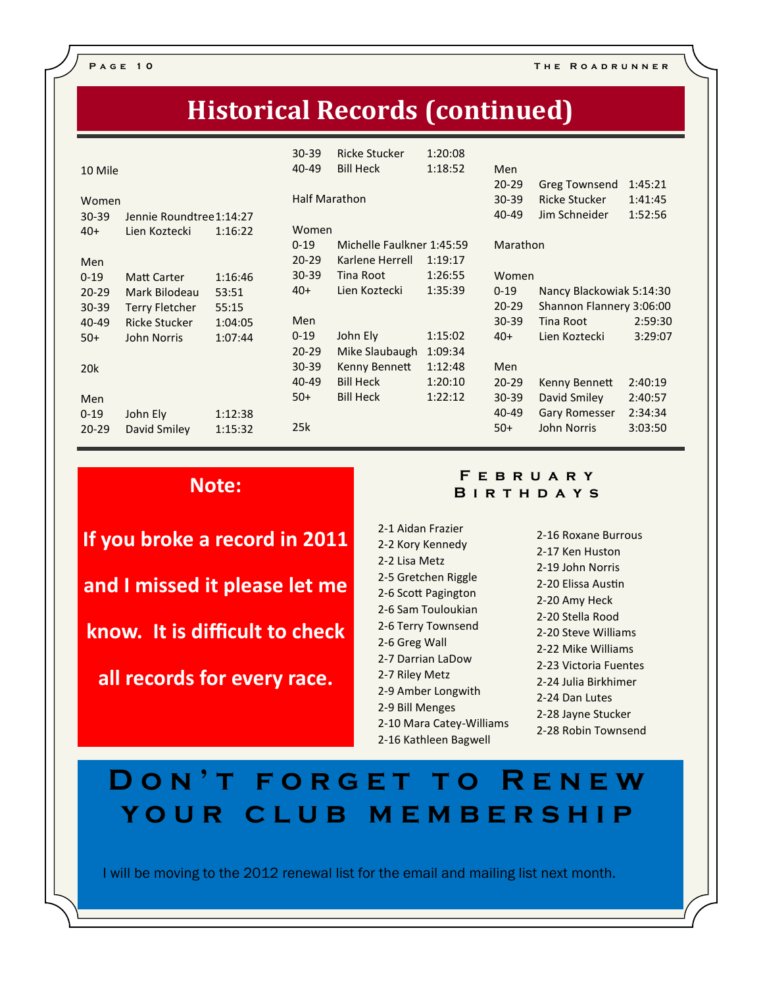P A G E 10 THE ROADRUNNER

### **Historical Records (continued)**

| 10 Mile                               |         | $30 - 39$<br>40-49 | <b>Ricke Stucker</b><br><b>Bill Heck</b> | 1:20:08<br>1:18:52 | Men<br>$20 - 29$ |                                       | 1:45:21 |
|---------------------------------------|---------|--------------------|------------------------------------------|--------------------|------------------|---------------------------------------|---------|
| Women                                 |         |                    | <b>Half Marathon</b>                     |                    | $30 - 39$        | <b>Greg Townsend</b><br>Ricke Stucker | 1:41:45 |
| $30 - 39$<br>Jennie Roundtree 1:14:27 |         |                    |                                          |                    | 40-49            | Jim Schneider                         | 1:52:56 |
| $40+$<br>Lien Koztecki                | 1:16:22 | Women              |                                          |                    |                  |                                       |         |
|                                       |         | $0 - 19$           | Michelle Faulkner 1:45:59                |                    | Marathon         |                                       |         |
| Men                                   |         | $20 - 29$          | Karlene Herrell                          | 1:19:17            |                  |                                       |         |
| $0 - 19$<br><b>Matt Carter</b>        | 1:16:46 | 30-39              | Tina Root                                | 1:26:55            | Women            |                                       |         |
| $20 - 29$<br>Mark Bilodeau            | 53:51   | $40+$              | Lien Koztecki                            | 1:35:39            | $0 - 19$         | Nancy Blackowiak 5:14:30              |         |
| 30-39<br><b>Terry Fletcher</b>        | 55:15   |                    |                                          |                    | $20 - 29$        | Shannon Flannery 3:06:00              |         |
| 40-49<br><b>Ricke Stucker</b>         | 1:04:05 | Men                |                                          |                    | $30 - 39$        | Tina Root                             | 2:59:30 |
| John Norris<br>$50+$                  | 1:07:44 | $0 - 19$           | John Ely                                 | 1:15:02            | $40+$            | Lien Koztecki                         | 3:29:07 |
|                                       |         | $20 - 29$          | Mike Slaubaugh                           | 1:09:34            |                  |                                       |         |
| 20k                                   |         | $30 - 39$          | Kenny Bennett                            | 1:12:48            | Men              |                                       |         |
|                                       |         | 40-49              | <b>Bill Heck</b>                         | 1:20:10            | $20 - 29$        | Kenny Bennett                         | 2:40:19 |
| Men                                   |         | $50+$              | <b>Bill Heck</b>                         | 1:22:12            | 30-39            | David Smiley                          | 2:40:57 |
| $0 - 19$<br>John Ely                  | 1:12:38 |                    |                                          |                    | $40 - 49$        | Gary Romesser                         | 2:34:34 |
| David Smiley<br>$20 - 29$             | 1:15:32 | 25k                |                                          |                    | $50+$            | <b>John Norris</b>                    | 3:03:50 |

### Note:

If you broke a record in 2011 and I missed it please let me know. It is difficult to check all records for every race.

#### F E B R U A R Y **BIRTHDAYS**

- 2-1 Aidan Frazier 2-2 Kory Kennedy 2-2 Lisa Metz 2-5 Gretchen Riggle 2-6 Scott Pagington 2-6 Sam Touloukian 2-6 Terry Townsend 2-6 Greg Wall 2-7 Darrian LaDow 2-7 Riley Metz 2-9 Amber Longwith 2-9 Bill Menges 2-10 Mara Catey-Williams 2-16 Kathleen Bagwell
- 2-16 Roxane Burrous 2-17 Ken Huston 2-19 John Norris 2-20 Elissa Austin 2-20 Amy Heck 2-20 Stella Rood 2-20 Steve Williams 2-22 Mike Williams 2-23 Victoria Fuentes 2-24 Julia Birkhimer 2-24 Dan Lutes 2-28 Jayne Stucker 2-28 Robin Townsend

## DON'T FORGET TO RENEW YOUR CLUB MEMBERSHIP

I will be moving to the 2012 renewal list for the email and mailing list next month.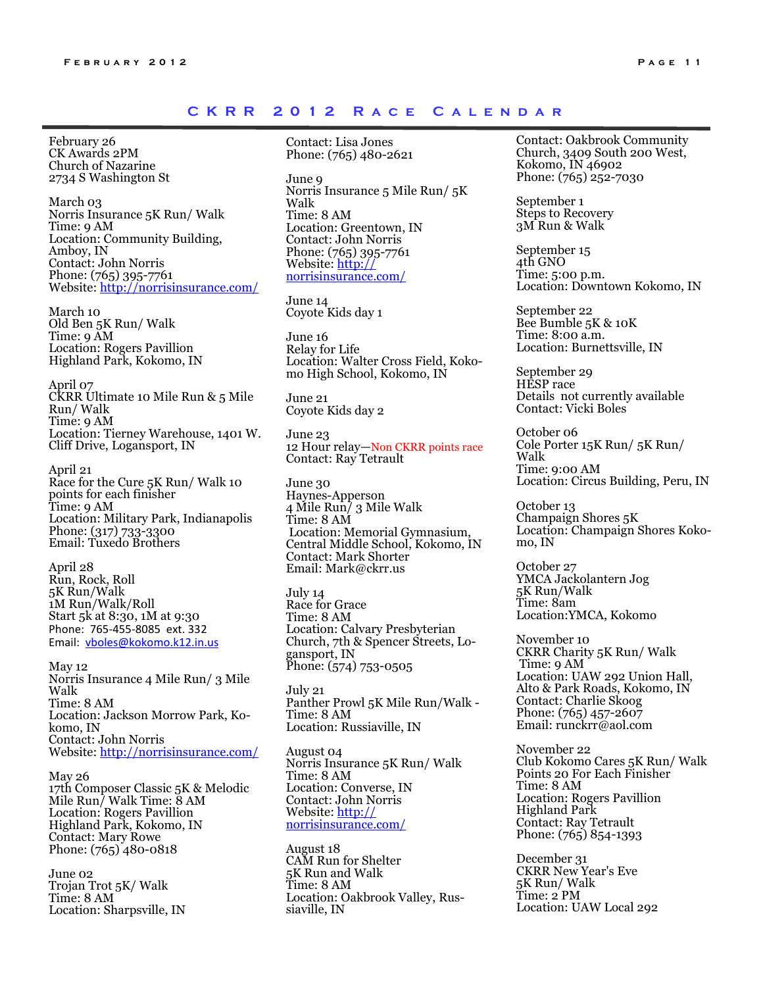#### CKRR 2012 RACE CALENDAR

February 26 CK Awards 2PM Church of Nazarine 2734 S Washington St

March 03 Norris Insurance 5K Run/ Walk Time: 9 AM Location: Community Building, Amboy, IN Contact: John Norris Phone: (765) 395-7761 Website: http://norrisinsurance.com/

March 10 Old Ben 5K Run/ Walk Time: 9 AM Location: Rogers Pavillion Highland Park, Kokomo, IN

April 07 CKRR Ultimate 10 Mile Run & 5 Mile Run/ Walk Time: 9 AM Location: Tierney Warehouse, 1401 W. Cliff Drive, Logansport, IN

April 21 Race for the Cure 5K Run/ Walk 10 points for each finisher Time: 9 AM Location: Military Park, Indianapolis Phone: (317) 733-3300 Email: Tuxedo Brothers

April 28 Run, Rock, Roll 5K Run/Walk 1M Run/Walk/Roll Start 5k at 8:30, 1M at 9:30 Phone: 765-455-8085 ext. 332 Email: vboles@kokomo.k12.in.us

May 12 Norris Insurance 4 Mile Run/ 3 Mile Walk Time: 8 AM Location: Jackson Morrow Park, Kokomo, IN Contact: John Norris Website: http://norrisinsurance.com/

May 26 17th Composer Classic 5K & Melodic Mile Run/ Walk Time: 8 AM Location: Rogers Pavillion Highland Park, Kokomo, IN Contact: Mary Rowe Phone: (765) 480-0818

June 02 Trojan Trot 5K/ Walk Time: 8 AM Location: Sharpsville, IN

Contact: Lisa Jones Phone: (765) 480-2621

June 9 Norris Insurance 5 Mile Run/ 5K Walk Time: 8 AM Location: Greentown, IN Contact: John Norris Phone: (765) 395-7761 Website: http:// norrisinsurance.com/

June 14 Coyote Kids day 1

June 16 Relay for Life Location: Walter Cross Field, Kokomo High School, Kokomo, IN

June 21 Coyote Kids day 2

June 23 12 Hour relay—Non CKRR points race Contact: Ray Tetrault

June 30 Haynes-Apperson 4 Mile Run/ 3 Mile Walk Time: 8 AM Location: Memorial Gymnasium, Central Middle School, Kokomo, IN Contact: Mark Shorter Email: Mark@ckrr.us

July 14 Race for Grace Time: 8 AM Location: Calvary Presbyterian Church, 7th & Spencer Streets, Logansport, IN Phone: (574) 753-0505

July 21 Panther Prowl 5K Mile Run/Walk - Time: 8 AM Location: Russiaville, IN

August 04 Norris Insurance 5K Run/ Walk Time: 8 AM Location: Converse, IN Contact: John Norris Website: http:// norrisinsurance.com/

August 18 CAM Run for Shelter 5K Run and Walk Time: 8 AM Location: Oakbrook Valley, Russiaville, IN

Contact: Oakbrook Community Church, 3409 South 200 West, Kokomo, IN 46902 Phone: (765) 252-7030

September 1 Steps to Recovery 3M Run & Walk

September 15 4th GNO Time: 5:00 p.m. Location: Downtown Kokomo, IN

September 22 Bee Bumble 5K & 10K Time: 8:00 a.m. Location: Burnettsville, IN

September 29 HESP race Details not currently available Contact: Vicki Boles

October 06 Cole Porter 15K Run/ 5K Run/ Walk Time: 9:00 AM Location: Circus Building, Peru, IN

October 13 Champaign Shores 5K Location: Champaign Shores Kokomo, IN

October 27 YMCA Jackolantern Jog 5K Run/Walk Time: 8am Location:YMCA, Kokomo

November 10 CKRR Charity 5K Run/ Walk Time: 9 AM Location: UAW 292 Union Hall, Alto & Park Roads, Kokomo, IN Contact: Charlie Skoog Phone: (765) 457-2607 Email: runckrr@aol.com

November 22 Club Kokomo Cares 5K Run/ Walk Points 20 For Each Finisher Time: 8 AM Location: Rogers Pavillion Highland Park Contact: Ray Tetrault Phone: (765) 854-1393

December 31 CKRR New Year's Eve 5K Run/ Walk Time: 2 PM Location: UAW Local 292